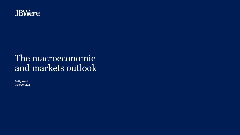

# The macroeconomic and markets outlook

**Sally Auld** October 2021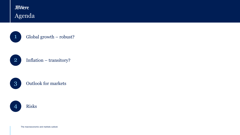## **JBWere** Agenda



1 Global growth – robust?



### 2 Inflation – transitory?

3 Outlook for markets



The macroeconomic and markets outlook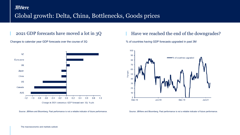## **JBWere** Global growth: Delta, China, Bottlenecks, Goods prices



Changes to calendar year GDP forecasts over the course of 3Q % of countries having GDP forecasts upgraded in past 3M

### Source: JBWere and Bloomberg. Past performance is not a reliable indicator of future performance. Source: JBWere and Bloomberg. Past performance is not a reliable indicator of future performance.

### 2021 GDP forecasts have moved a lot in 3Q Have we reached the end of the downgrades?

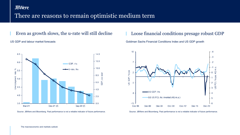### **JBWere**

### There are reasons to remain optimistic medium term



### Even as growth slows, the u-rate will still decline  $\blacksquare$  Loose financial conditions presage robust GDP

US GDP and labour market forecasts Goldman Sachs Financial Conditions Index and US GDP growth



Source: JBWere and Bloomberg. Past performance is not a reliable indicator of future performance. Source: JBWere and Bloomberg. Past performance is not a reliable indicator of future performance.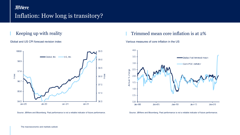## **JBWere** Inflation: How long is transitory?



### Keeping up with reality **Trimmed mean core inflation is at 2%**

Global and US CPI forecast revision index Various measures of core inflation in the US



Source: JBWere and Bloomberg. Past performance is not a reliable indicator of future performance. Source: JBWere and Bloomberg. Past performance is not a reliable indicator of future performance.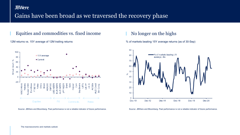### **JBWere**

## Gains have been broad as we traversed the recovery phase

### Equities and commodities vs. fixed income No longer on the highs







Source: JBWere and Bloomberg. Past performance is not a reliable indicator of future performance. Source: JBWere and Bloomberg. Past performance is not a reliable indicator of future performance.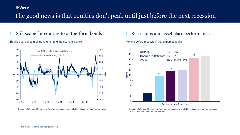### **JBWere**

## The good news is that equities don't peak until just before the next recession

### Still scope for equities to outperform bonds Recessions and asset class performance

Equities vs. bonds (trailing returns) and the economic cycle Months before recession\* that a market peaks



Source: JBWere and Bloomberg. Past performance is not a reliable indicator of future performance.



Source: JBWere and Bloomberg. Past performance is not a reliable indicator of future performance. \*2020, 2007, 2001 and 1991 recessions.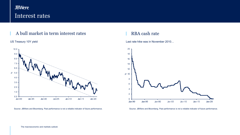## **JBWere** Interest rates

### A bull market in term interest rates RBA cash rate



Source: JBWere and Bloomberg. Past performance is not a reliable indicator of future performance.

### US Treasury 10Y yield **Last rate hike was in November 2010...** Last rate hike was in November 2010...



Source: JBWere and Bloomberg. Past performance is not a reliable indicator of future performance.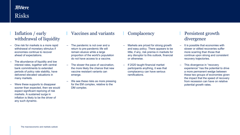## **JBWere** Risks

### Inflation / early withdrawal of liquidity

- One risk for markets is a more rapid withdrawal of monetary stimulus if economies continue to recover ahead of expectations.
- The abundance of liquidity and low interest rates, together with central bank commitments to extended periods of policy rate stability, have delivered elevated valuations in many markets.
- Were these supports to disappear sooner than expected, then we would expect significant repricing of risk markets. A sustained surge in inflation is likely to be the driver of any such dynamic.

### Vaccines and variants  $\blacksquare$  Complacency  $\blacksquare$  Persistent growth

- The pandemic is not over and a return to pre-pandemic life will remain elusive while a large proportion of the world's population do not have access to a vaccine.
- The slower the pace of vaccination, the more likely the chance that new vaccine resistant variants can emerge.
- We see these risks as more pressing for the EM complex, relative to the DM complex.

- Markets are priced for strong growth and easy policy. There appears to be little, if any, risk premia in markets for any disruptor to this outlook, financial or otherwise.
- If 2020 taught financial market participants anything, it was that complacency can have serious ramifications.

# divergence

- It is possible that economies with slower or stilted recoveries suffer more scarring than those that continue upon strong and consistent recovery trajectories.
- This divergence in "recovery experience" has the potential to drive a more permanent wedge between these two groups of economies given the impact that the speed of recovery from recession can have on relative potential growth rates.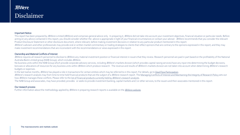### **JBWere** Disclaimer

### Important Notice

This report has been prepared by JBWere Limited (JBWere) and comprises general advice only. In preparing it, JBWere did not take into account your investment objectives, financial situation or particular needs. Before acting on any advice contained in this report, you should consider whether the advice is appropriate in light of your financial circumstances or contact your adviser. JBWere recommends that you consider the relevant Product Disclosure Statement or other disclosure document, where relevant, before making investment decisions in relation to any particular product mentioned in this report.

JBWere's advisers and other professionals may provide oral or written market commentary or trading strategies to clients that reflect opinions that are contrary to the opinions expressed in this report, and they may make investment recommendations that are inconsistent with the recommendations or views expressed in this report.

### Ownership and Material Conflicts of Interest

JBWere requires all research personnel to disclose to JBWere any material investment position or financial interest in issuers that they review. Research personnel are paid in part based on the profitability of the Nationa Australia Bank Limited group (NAB Group), which includes JBWere.

No business units within the NAB Group which provide corporate advisory services, including JBWere's markets division (which provides capital raising services) have any input into determining the budget decisions, bonuses or allocations of resources for any business units within JBWere which produce research. The revenue and results of JBWere's markets division are not taken into account when determining JBWere's research budgets or expenses.

In the last twelve months, JBWere has played a role in transactions for certain entities which may be referred to in this report. For details, go to [Deal Flow Participation](https://www.jbwere.com.au/content/dam/jbwere/documents/deal-flow-participation.pdf).

JBWere's research analysts may from time to time hold financial products that are the subject of a JBWere research report. The [Managing Conflicts of Interest and Maintaining the Integrity of Research Policy s](https://www.jbwere.com.au/content/dam/jbwere/documents/jbwere-managing-conflicts-of-interest-and-integrity-of-research-pdf.pdf)ets out how JBWere manages these conflicts. Please refer to the list of financial products currently held by JBWere's research analysts.

The NAB Group and associates, may have provided, provides or seeks to provide investment banking, capital markets and / or other services, to the issuers and their associates mentioned in this report.

### Our research process

Further information about the methodology applied by JBWere in preparing research reports is available on the [JBWere website](https://www.jbwere.com.au/individual-and-families/investment-advice/investment-strategy-group).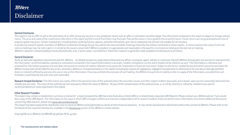## **JBWere** Disclaimer

### General Disclosures

This report is not an offer to sell or the solicitation of an offer to buy any security in any jurisdiction where such an offer or solicitation would be illegal. The information contained in this report is subject to chang notice. The price and value of the investments referred to in this report and the income from them may fluctuate. Past performance is not a guide to future performance. Future returns are not guaranteed and a loss of original capital may occur. Certain transactions, including those involving futures, options, and other derivatives, give rise to substantial risk and are not suitable for all investors. In producing research reports, members of JBWere's Investment Strategy Group may attend site visits and other meetings hosted by the entities mentioned in those reports. In some instances the costs of such site visits or meetings may be met in part or in whole by the issuers concerned if JBWere considers it is appropriate and reasonable in the specific circumstances relating to the site visit or meeting. JBWere's research is disseminated primarily electronically, and, in some cases, in printed form. Electronic research is generally made available simultaneously to all clients.

### General Disclaimer

So far as laws and regulatory requirements permit, JBWere, its related companies, associated entities and any officer, employee, agent, adviser or contractor thereof (JBWere Group) does not warrant or represent that the information, recommendations, opinions or conclusions contained in this report (Information) is accurate, reliable, complete or current and it should not be relied on as such. The Information is indicative and prepared for information purposes only and does not purport to contain all matters relevant to any particular investment or financial instrument. Subject to any terms implied by law and which cannot be excluded, the JBWere Group shall not be liable for any errors, omissions, defects or misrepresentations in this report (including by reasons of negligence, negligent misstatement or otherwise) or for any loss or damage (whether direct or indirect) suffered by persons who use or rely on the Information. If any law prohibits the exclusion of such liability, the JBWere Group limits its liability to the re-supply of the Information, provided that suc limitation is permitted by law and is fair and reasonable.

Research Analyst Disclaimer: The Information accurately reflects the personal views of the author(s) about the securities, issuers and other subject matters discussed, and is based upon sources reasonably believed to be reliable and accurate. The views of the author(s) do not necessarily reflect the views of JBWere. No part of the compensation of the author(s) was, is, or will be, directly or indirectly, related to any specific recommendations or views expressed in this report.

### Other Research Providers

.

This report may contain a restatement, summary or extract of a report prepared by UBS Securities Australia Limited (UBS) or a related body corporate (UBS Report). Please contact your JBWere adviser if you would like a copy of the UBS Report. For information on the ways in which UBS manages conflicts and maintains independence of its research product; historical performance information; and certain additional disclosures concerning UBS research, please visit [www.ubs.com/disclosures](http://www.ubs.com/disclosures)

This report has been prepared for distribution only to clients of JBWere (and potentially to clients of other financial advisers). It may not be reproduced or distributed without the consent of JBWere. Please refer to the full details of the important disclosures, available in the [Disclosures](http://www.jbwere.com.au/nav_footer/disclosures) section of the JBWere Limited website.

Copyright© 2021 JBWere Ltd ABN 68 137 978 360 AFSL 341162